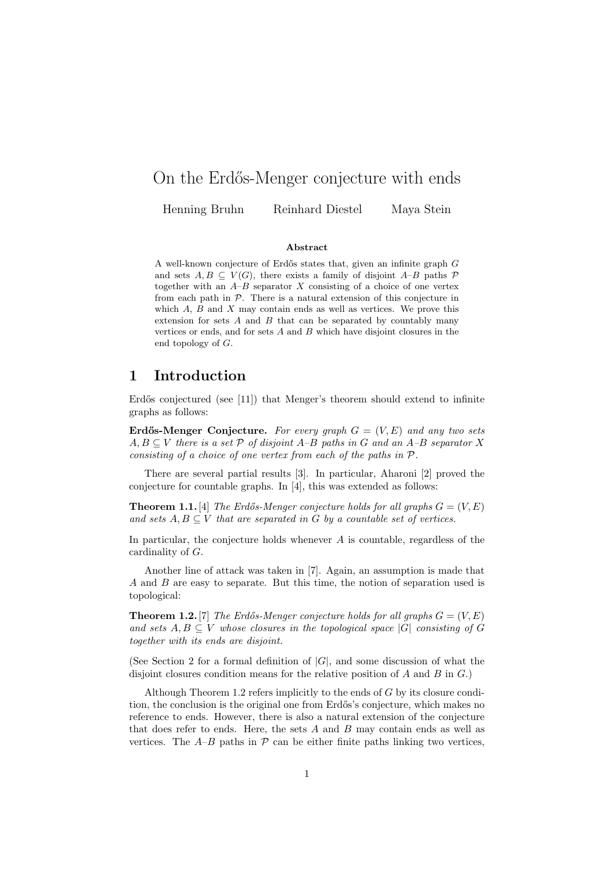# On the Erdős-Menger conjecture with ends

Henning Bruhn Reinhard Diestel Maya Stein

#### Abstract

A well-known conjecture of Erdős states that, given an infinite graph  $G$ and sets  $A, B \subseteq V(G)$ , there exists a family of disjoint  $A-B$  paths  $\mathcal P$ together with an  $A-B$  separator X consisting of a choice of one vertex from each path in  $P$ . There is a natural extension of this conjecture in which  $A$ ,  $B$  and  $X$  may contain ends as well as vertices. We prove this extension for sets  $A$  and  $B$  that can be separated by countably many vertices or ends, and for sets  $A$  and  $B$  which have disjoint closures in the end topology of G.

## 1 Introduction

Erdős conjectured (see [11]) that Menger's theorem should extend to infinite graphs as follows:

Erdős-Menger Conjecture. For every graph  $G = (V, E)$  and any two sets  $A, B \subseteq V$  there is a set  $P$  of disjoint A–B paths in G and an A–B separator X consisting of a choice of one vertex from each of the paths in P.

There are several partial results [3]. In particular, Aharoni [2] proved the conjecture for countable graphs. In [4], this was extended as follows:

**Theorem 1.1.** [4] The Erdős-Menger conjecture holds for all graphs  $G = (V, E)$ and sets  $A, B \subseteq V$  that are separated in G by a countable set of vertices.

In particular, the conjecture holds whenever  $A$  is countable, regardless of the cardinality of G.

Another line of attack was taken in [7]. Again, an assumption is made that A and B are easy to separate. But this time, the notion of separation used is topological:

**Theorem 1.2.** [7] The Erdős-Menger conjecture holds for all graphs  $G = (V, E)$ and sets  $A, B \subseteq V$  whose closures in the topological space  $|G|$  consisting of G together with its ends are disjoint.

(See Section 2 for a formal definition of  $|G|$ , and some discussion of what the disjoint closures condition means for the relative position of  $A$  and  $B$  in  $G$ .)

Although Theorem 1.2 refers implicitly to the ends of  $G$  by its closure condition, the conclusion is the original one from Erdős's conjecture, which makes no reference to ends. However, there is also a natural extension of the conjecture that does refer to ends. Here, the sets  $A$  and  $B$  may contain ends as well as vertices. The  $A-B$  paths in  $\mathcal P$  can be either finite paths linking two vertices,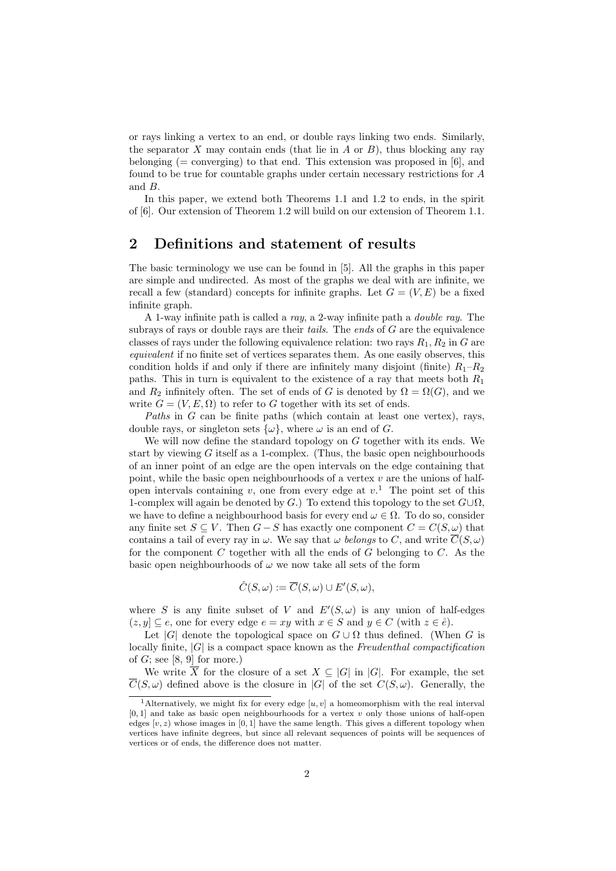or rays linking a vertex to an end, or double rays linking two ends. Similarly, the separator X may contain ends (that lie in A or  $B$ ), thus blocking any ray belonging ( $=$  converging) to that end. This extension was proposed in [6], and found to be true for countable graphs under certain necessary restrictions for A and B.

In this paper, we extend both Theorems 1.1 and 1.2 to ends, in the spirit of [6]. Our extension of Theorem 1.2 will build on our extension of Theorem 1.1.

# 2 Definitions and statement of results

The basic terminology we use can be found in [5]. All the graphs in this paper are simple and undirected. As most of the graphs we deal with are infinite, we recall a few (standard) concepts for infinite graphs. Let  $G = (V, E)$  be a fixed infinite graph.

A 1-way infinite path is called a ray, a 2-way infinite path a double ray. The subrays of rays or double rays are their *tails*. The ends of  $G$  are the equivalence classes of rays under the following equivalence relation: two rays  $R_1, R_2$  in G are equivalent if no finite set of vertices separates them. As one easily observes, this condition holds if and only if there are infinitely many disjoint (finite)  $R_1-R_2$ paths. This in turn is equivalent to the existence of a ray that meets both  $R_1$ and  $R_2$  infinitely often. The set of ends of G is denoted by  $\Omega = \Omega(G)$ , and we write  $G = (V, E, \Omega)$  to refer to G together with its set of ends.

Paths in G can be finite paths (which contain at least one vertex), rays, double rays, or singleton sets  $\{\omega\}$ , where  $\omega$  is an end of G.

We will now define the standard topology on G together with its ends. We start by viewing  $G$  itself as a 1-complex. (Thus, the basic open neighbourhoods of an inner point of an edge are the open intervals on the edge containing that point, while the basic open neighbourhoods of a vertex  $v$  are the unions of halfopen intervals containing v, one from every edge at  $v<sup>1</sup>$ . The point set of this 1-complex will again be denoted by G.) To extend this topology to the set  $G\cup\Omega$ , we have to define a neighbourhood basis for every end  $\omega \in \Omega$ . To do so, consider any finite set  $S \subseteq V$ . Then  $G - S$  has exactly one component  $C = C(S, \omega)$  that contains a tail of every ray in  $\omega$ . We say that  $\omega$  belongs to C, and write  $\overline{C}(S,\omega)$ for the component  $C$  together with all the ends of  $G$  belonging to  $C$ . As the basic open neighbourhoods of  $\omega$  we now take all sets of the form

$$
\hat{C}(S,\omega) := \overline{C}(S,\omega) \cup E'(S,\omega),
$$

where S is any finite subset of V and  $E'(S,\omega)$  is any union of half-edges  $(z, y] \subseteq e$ , one for every edge  $e = xy$  with  $x \in S$  and  $y \in C$  (with  $z \in \mathring{e}$ ).

Let  $|G|$  denote the topological space on  $G \cup \Omega$  thus defined. (When G is locally finite,  $|G|$  is a compact space known as the Freudenthal compactification of  $G$ ; see [8, 9] for more.)

We write  $\overline{X}$  for the closure of a set  $X \subseteq |G|$  in |G|. For example, the set  $\overline{C}(S,\omega)$  defined above is the closure in |G| of the set  $C(S,\omega)$ . Generally, the

<sup>&</sup>lt;sup>1</sup>Alternatively, we might fix for every edge [u, v] a homeomorphism with the real interval  $[0, 1]$  and take as basic open neighbourhoods for a vertex v only those unions of half-open edges  $[v, z]$  whose images in [0, 1] have the same length. This gives a different topology when vertices have infinite degrees, but since all relevant sequences of points will be sequences of vertices or of ends, the difference does not matter.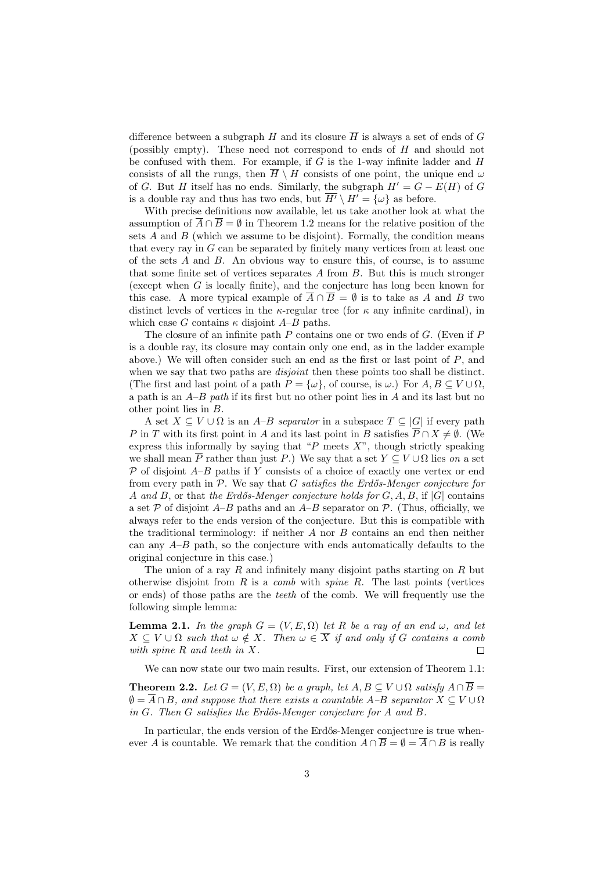difference between a subgraph H and its closure  $\overline{H}$  is always a set of ends of G (possibly empty). These need not correspond to ends of H and should not be confused with them. For example, if  $G$  is the 1-way infinite ladder and  $H$ consists of all the rungs, then  $\overline{H} \setminus H$  consists of one point, the unique end  $\omega$ of G. But H itself has no ends. Similarly, the subgraph  $H' = G - E(H)$  of G is a double ray and thus has two ends, but  $\overline{H'} \setminus H' = {\omega}$  as before.

With precise definitions now available, let us take another look at what the assumption of  $\overline{A} \cap \overline{B} = \emptyset$  in Theorem 1.2 means for the relative position of the sets  $A$  and  $B$  (which we assume to be disjoint). Formally, the condition means that every ray in  $G$  can be separated by finitely many vertices from at least one of the sets  $A$  and  $B$ . An obvious way to ensure this, of course, is to assume that some finite set of vertices separates  $A$  from  $B$ . But this is much stronger (except when G is locally finite), and the conjecture has long been known for this case. A more typical example of  $\overline{A} \cap \overline{B} = \emptyset$  is to take as A and B two distinct levels of vertices in the  $\kappa$ -regular tree (for  $\kappa$  any infinite cardinal), in which case G contains  $\kappa$  disjoint  $A-B$  paths.

The closure of an infinite path  $P$  contains one or two ends of  $G$ . (Even if  $P$ is a double ray, its closure may contain only one end, as in the ladder example above.) We will often consider such an end as the first or last point of P, and when we say that two paths are *disjoint* then these points too shall be distinct. (The first and last point of a path  $P = {\omega}$ , of course, is  $\omega$ .) For  $A, B \subseteq V \cup \Omega$ , a path is an  $A-B$  path if its first but no other point lies in  $A$  and its last but no other point lies in B.

A set  $X \subseteq V \cup \Omega$  is an A–B separator in a subspace  $T \subseteq |G|$  if every path P in T with its first point in A and its last point in B satisfies  $\overline{P} \cap X \neq \emptyset$ . (We express this informally by saying that " $P$  meets  $X$ ", though strictly speaking we shall mean  $\overline{P}$  rather than just P.) We say that a set  $Y \subseteq V \cup \Omega$  lies on a set  $P$  of disjoint  $A-B$  paths if Y consists of a choice of exactly one vertex or end from every path in  $P$ . We say that G satisfies the Erdős-Menger conjecture for A and B, or that the Erdős-Menger conjecture holds for  $G, A, B$ , if  $|G|$  contains a set  $\mathcal P$  of disjoint A–B paths and an A–B separator on  $\mathcal P$ . (Thus, officially, we always refer to the ends version of the conjecture. But this is compatible with the traditional terminology: if neither  $A$  nor  $B$  contains an end then neither can any  $A-B$  path, so the conjecture with ends automatically defaults to the original conjecture in this case.)

The union of a ray  $R$  and infinitely many disjoint paths starting on  $R$  but otherwise disjoint from  $R$  is a *comb* with *spine*  $R$ . The last points (vertices or ends) of those paths are the teeth of the comb. We will frequently use the following simple lemma:

**Lemma 2.1.** In the graph  $G = (V, E, \Omega)$  let R be a ray of an end  $\omega$ , and let  $X \subseteq V \cup \Omega$  such that  $\omega \notin X$ . Then  $\omega \in \overline{X}$  if and only if G contains a comb with spine R and teeth in X.  $\Box$ 

We can now state our two main results. First, our extension of Theorem 1.1:

**Theorem 2.2.** Let  $G = (V, E, \Omega)$  be a graph, let  $A, B \subseteq V \cup \Omega$  satisfy  $A \cap \overline{B} =$  $\emptyset = \overline{A} \cap B$ , and suppose that there exists a countable  $A-B$  separator  $X \subseteq V \cup \Omega$ in  $G$ . Then  $G$  satisfies the Erdős-Menger conjecture for  $A$  and  $B$ .

In particular, the ends version of the Erdős-Menger conjecture is true whenever A is countable. We remark that the condition  $A \cap \overline{B} = \emptyset = \overline{A} \cap B$  is really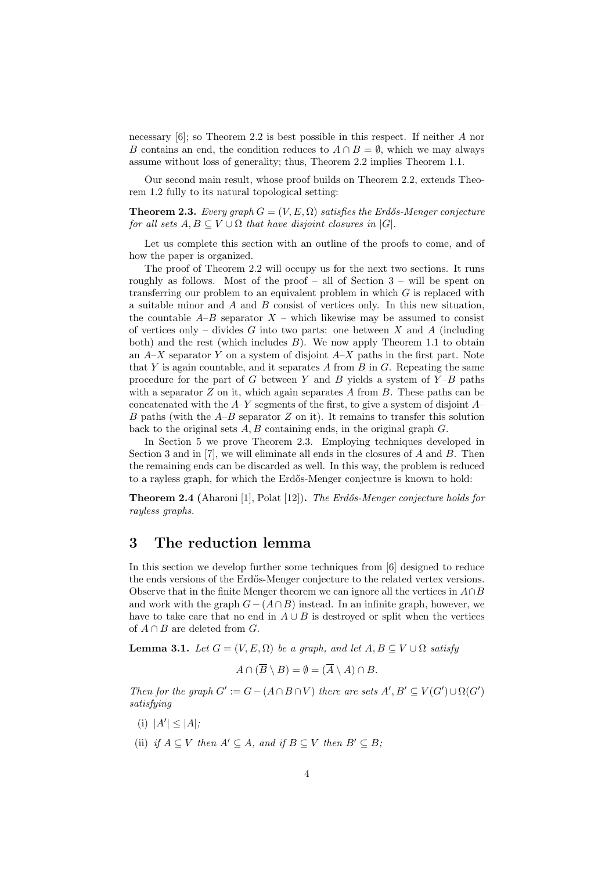necessary [6]; so Theorem 2.2 is best possible in this respect. If neither A nor B contains an end, the condition reduces to  $A \cap B = \emptyset$ , which we may always assume without loss of generality; thus, Theorem 2.2 implies Theorem 1.1.

Our second main result, whose proof builds on Theorem 2.2, extends Theorem 1.2 fully to its natural topological setting:

**Theorem 2.3.** Every graph  $G = (V, E, \Omega)$  satisfies the Erdős-Menger conjecture for all sets  $A, B \subseteq V \cup \Omega$  that have disjoint closures in [G].

Let us complete this section with an outline of the proofs to come, and of how the paper is organized.

The proof of Theorem 2.2 will occupy us for the next two sections. It runs roughly as follows. Most of the proof – all of Section  $3$  – will be spent on transferring our problem to an equivalent problem in which  $G$  is replaced with a suitable minor and A and B consist of vertices only. In this new situation, the countable  $A-B$  separator  $X$  – which likewise may be assumed to consist of vertices only – divides G into two parts: one between X and A (including both) and the rest (which includes  $B$ ). We now apply Theorem 1.1 to obtain an  $A-X$  separator Y on a system of disjoint  $A-X$  paths in the first part. Note that Y is again countable, and it separates  $A$  from  $B$  in  $G$ . Repeating the same procedure for the part of G between Y and B yields a system of  $Y-B$  paths with a separator  $Z$  on it, which again separates  $A$  from  $B$ . These paths can be concatenated with the  $A-Y$  segments of the first, to give a system of disjoint  $A$ -B paths (with the  $A-B$  separator Z on it). It remains to transfer this solution back to the original sets  $A, B$  containing ends, in the original graph  $G$ .

In Section 5 we prove Theorem 2.3. Employing techniques developed in Section 3 and in  $[7]$ , we will eliminate all ends in the closures of A and B. Then the remaining ends can be discarded as well. In this way, the problem is reduced to a rayless graph, for which the Erdős-Menger conjecture is known to hold:

**Theorem 2.4** (Aharoni [1], Polat [12]). The Erdős-Menger conjecture holds for rayless graphs.

# 3 The reduction lemma

In this section we develop further some techniques from [6] designed to reduce the ends versions of the Erd˝os-Menger conjecture to the related vertex versions. Observe that in the finite Menger theorem we can ignore all the vertices in  $A \cap B$ and work with the graph  $G-(A\cap B)$  instead. In an infinite graph, however, we have to take care that no end in  $A \cup B$  is destroyed or split when the vertices of  $A \cap B$  are deleted from G.

**Lemma 3.1.** Let  $G = (V, E, \Omega)$  be a graph, and let  $A, B \subseteq V \cup \Omega$  satisfy

$$
A \cap (\overline{B} \setminus B) = \emptyset = (\overline{A} \setminus A) \cap B.
$$

Then for the graph  $G' := G - (A \cap B \cap V)$  there are sets  $A', B' \subseteq V(G') \cup \Omega(G')$ satisfying

- (i)  $|A'| \leq |A|$ ;
- (ii) if  $A \subseteq V$  then  $A' \subseteq A$ , and if  $B \subseteq V$  then  $B' \subseteq B$ ;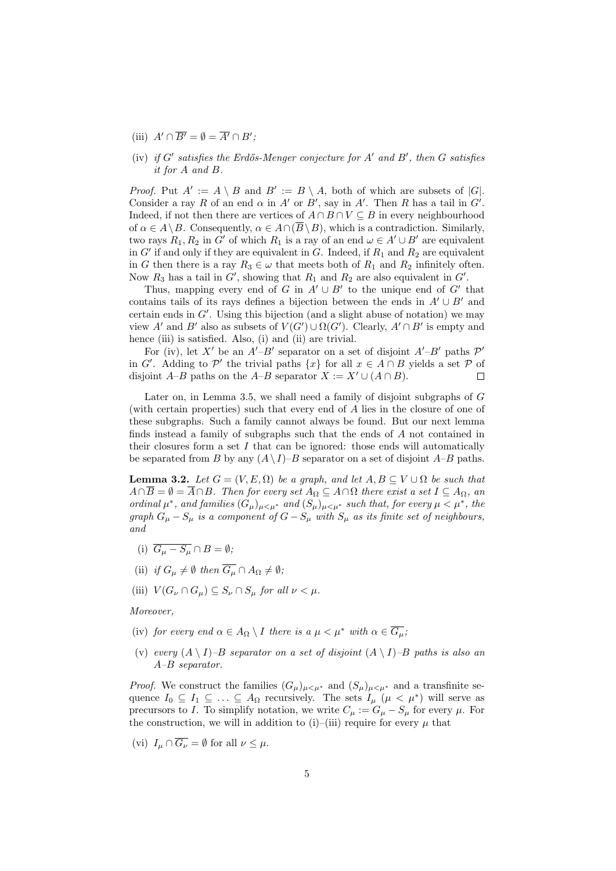- (iii)  $A' \cap \overline{B'} = \emptyset = \overline{A'} \cap B'$ ;
- (iv) if  $G'$  satisfies the Erdős-Menger conjecture for  $A'$  and  $B'$ , then  $G$  satisfies it for A and B.

*Proof.* Put  $A' := A \setminus B$  and  $B' := B \setminus A$ , both of which are subsets of  $|G|$ . Consider a ray R of an end  $\alpha$  in A' or B', say in A'. Then R has a tail in G'. Indeed, if not then there are vertices of  $A \cap B \cap V \subseteq B$  in every neighbourhood of  $\alpha \in A \setminus B$ . Consequently,  $\alpha \in A \cap (\overline{B} \setminus B)$ , which is a contradiction. Similarly, two rays  $R_1, R_2$  in G' of which  $R_1$  is a ray of an end  $\omega \in A' \cup B'$  are equivalent in  $G'$  if and only if they are equivalent in  $G$ . Indeed, if  $R_1$  and  $R_2$  are equivalent in G then there is a ray  $R_3 \in \omega$  that meets both of  $R_1$  and  $R_2$  infinitely often. Now  $R_3$  has a tail in  $G'$ , showing that  $R_1$  and  $R_2$  are also equivalent in  $G'$ .

Thus, mapping every end of G in  $A' \cup B'$  to the unique end of G' that contains tails of its rays defines a bijection between the ends in  $A' \cup B'$  and certain ends in  $G'$ . Using this bijection (and a slight abuse of notation) we may view A' and B' also as subsets of  $V(G') \cup \Omega(G')$ . Clearly,  $A' \cap B'$  is empty and hence (iii) is satisfied. Also, (i) and (ii) are trivial.

For (iv), let X' be an  $A'-B'$  separator on a set of disjoint  $A'-B'$  paths  $\mathcal{P}'$ in G'. Adding to P' the trivial paths  $\{x\}$  for all  $x \in A \cap B$  yields a set P of disjoint A–B paths on the A–B separator  $X := X' \cup (A \cap B)$ .  $\Box$ 

Later on, in Lemma 3.5, we shall need a family of disjoint subgraphs of G (with certain properties) such that every end of A lies in the closure of one of these subgraphs. Such a family cannot always be found. But our next lemma finds instead a family of subgraphs such that the ends of A not contained in their closures form a set  $I$  that can be ignored: those ends will automatically be separated from B by any  $(A \setminus I)$ –B separator on a set of disjoint  $A$ –B paths.

**Lemma 3.2.** Let  $G = (V, E, \Omega)$  be a graph, and let  $A, B \subseteq V \cup \Omega$  be such that  $A \cap \overline{B} = \emptyset = \overline{A} \cap B$ . Then for every set  $A_{\Omega} \subseteq A \cap \Omega$  there exist a set  $I \subseteq A_{\Omega}$ , an ordinal  $\mu^*$ , and families  $(G_{\mu})_{\mu<\mu^*}$  and  $(S_{\mu})_{\mu<\mu^*}$  such that, for every  $\mu<\mu^*$ , the graph  $G_{\mu}-S_{\mu}$  is a component of  $G-S_{\mu}$  with  $S_{\mu}$  as its finite set of neighbours, and

- (i)  $\overline{G_u S_u} \cap B = \emptyset;$
- (ii) if  $G_u \neq \emptyset$  then  $\overline{G_u} \cap A_{\Omega} \neq \emptyset$ ;
- (iii)  $V(G_{\nu} \cap G_{\mu}) \subseteq S_{\nu} \cap S_{\mu}$  for all  $\nu < \mu$ .

Moreover,

- (iv) for every end  $\alpha \in A_{\Omega} \setminus I$  there is  $a \mu \leq \mu^*$  with  $\alpha \in \overline{G_{\mu}}$ ;
- (v) every  $(A \setminus I)$ –B separator on a set of disjoint  $(A \setminus I)$ –B paths is also an A–B separator.

*Proof.* We construct the families  $(G_{\mu})_{\mu \leq \mu^*}$  and  $(S_{\mu})_{\mu \leq \mu^*}$  and a transfinite sequence  $I_0 \subseteq I_1 \subseteq \ldots \subseteq A_\Omega$  recursively. The sets  $I_\mu$  ( $\mu < \mu^*$ ) will serve as precursors to I. To simplify notation, we write  $C_{\mu} := G_{\mu} - S_{\mu}$  for every  $\mu$ . For the construction, we will in addition to (i)–(iii) require for every  $\mu$  that

(vi)  $I_u \cap \overline{G_v} = \emptyset$  for all  $\nu \leq \mu$ .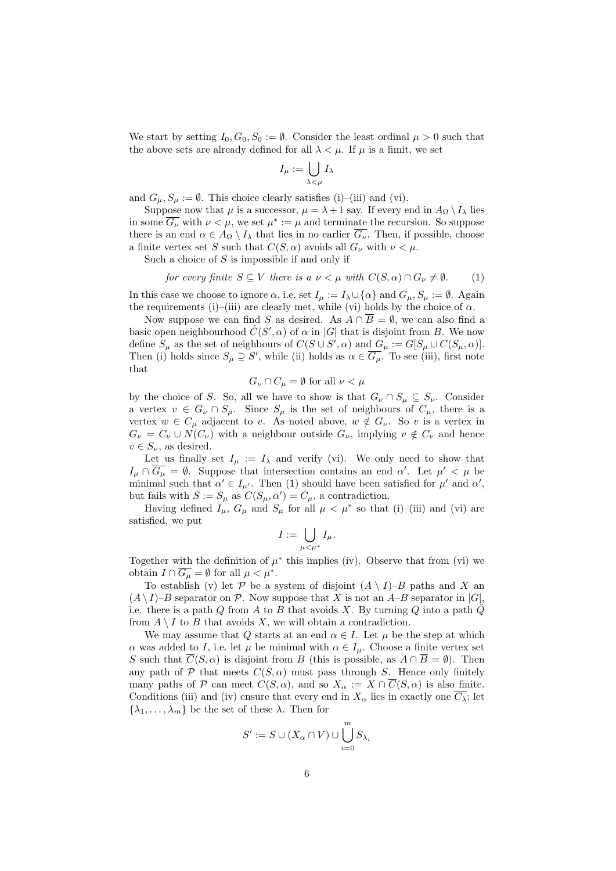We start by setting  $I_0, G_0, S_0 := \emptyset$ . Consider the least ordinal  $\mu > 0$  such that the above sets are already defined for all  $\lambda < \mu$ . If  $\mu$  is a limit, we set

$$
I_\mu := \bigcup_{\lambda < \mu} I_\lambda
$$

and  $G_{\mu}, S_{\mu} := \emptyset$ . This choice clearly satisfies (i)–(iii) and (vi).

Suppose now that  $\mu$  is a successor,  $\mu = \lambda + 1$  say. If every end in  $A_{\Omega} \setminus I_{\lambda}$  lies in some  $\overline{G_{\nu}}$  with  $\nu < \mu$ , we set  $\mu^* := \mu$  and terminate the recursion. So suppose there is an end  $\alpha \in A_{\Omega} \setminus I_{\lambda}$  that lies in no earlier  $\overline{G_{\nu}}$ . Then, if possible, choose a finite vertex set S such that  $C(S, \alpha)$  avoids all  $G_{\nu}$  with  $\nu < \mu$ .

Such a choice of  $S$  is impossible if and only if

for every finite 
$$
S \subseteq V
$$
 there is a  $\nu < \mu$  with  $C(S, \alpha) \cap G_{\nu} \neq \emptyset$ . (1)

In this case we choose to ignore  $\alpha$ , i.e. set  $I_\mu := I_\lambda \cup {\alpha}$  and  $G_\mu, S_\mu := \emptyset$ . Again the requirements (i)–(iii) are clearly met, while (vi) holds by the choice of  $\alpha$ .

Now suppose we can find S as desired. As  $A \cap \overline{B} = \emptyset$ , we can also find a basic open neighbourhood  $\hat{C}(S', \alpha)$  of  $\alpha$  in |G| that is disjoint from B. We now define  $S_{\mu}$  as the set of neighbours of  $C(S \cup S', \alpha)$  and  $G_{\mu} := G[S_{\mu} \cup C(S_{\mu}, \alpha)].$ Then (i) holds since  $S_{\mu} \supseteq S'$ , while (ii) holds as  $\alpha \in \overline{G_{\mu}}$ . To see (iii), first note that

$$
G_{\nu} \cap C_{\mu} = \emptyset
$$
 for all  $\nu < \mu$ 

by the choice of S. So, all we have to show is that  $G_{\nu} \cap S_{\mu} \subseteq S_{\nu}$ . Consider a vertex  $v \in G_{\nu} \cap S_{\mu}$ . Since  $S_{\mu}$  is the set of neighbours of  $C_{\mu}$ , there is a vertex  $w \in C_{\mu}$  adjacent to v. As noted above,  $w \notin G_{\nu}$ . So v is a vertex in  $G_{\nu} = C_{\nu} \cup N(C_{\nu})$  with a neighbour outside  $G_{\nu}$ , implying  $v \notin C_{\nu}$  and hence  $v \in S_{\nu}$ , as desired.

Let us finally set  $I_{\mu} := I_{\lambda}$  and verify (vi). We only need to show that  $I_\mu \cap \overline{G_\mu} = \emptyset$ . Suppose that intersection contains an end  $\alpha'$ . Let  $\mu' < \mu$  be minimal such that  $\alpha' \in I_{\mu'}$ . Then (1) should have been satisfied for  $\mu'$  and  $\alpha'$ , but fails with  $S := S_{\mu}$  as  $C(S_{\mu}, \alpha') = C_{\mu}$ , a contradiction.

Having defined  $I_{\mu}$ ,  $G_{\mu}$  and  $S_{\mu}$  for all  $\mu < \mu^*$  so that (i)–(iii) and (vi) are satisfied, we put

$$
I:=\bigcup_{\mu<\mu^*}I_\mu.
$$

Together with the definition of  $\mu^*$  this implies (iv). Observe that from (vi) we obtain  $I \cap \overline{G_{\mu}} = \emptyset$  for all  $\mu < \mu^*$ .

To establish (v) let P be a system of disjoint  $(A \setminus I)-B$  paths and X and  $(A \setminus I)$ –B separator on P. Now suppose that X is not an A–B separator in  $|G|$ , i.e. there is a path Q from A to B that avoids X. By turning Q into a path  $Q$ from  $A \setminus I$  to  $B$  that avoids  $X$ , we will obtain a contradiction.

We may assume that Q starts at an end  $\alpha \in I$ . Let  $\mu$  be the step at which  $α$  was added to *I*, i.e. let  $μ$  be minimal with  $α ∈ I<sub>μ</sub>$ . Choose a finite vertex set S such that  $\overline{C}(S,\alpha)$  is disjoint from B (this is possible, as  $A \cap \overline{B} = \emptyset$ ). Then any path of  $P$  that meets  $C(S, \alpha)$  must pass through S. Hence only finitely many paths of P can meet  $C(S, \alpha)$ , and so  $X_{\alpha} := X \cap \overline{C}(S, \alpha)$  is also finite. Conditions (iii) and (iv) ensure that every end in  $X_{\alpha}$  lies in exactly one  $\overline{C_{\lambda}}$ ; let  $\{\lambda_1, \ldots, \lambda_m\}$  be the set of these  $\lambda$ . Then for

$$
S':=S\cup (X_{\alpha}\cap V)\cup\bigcup_{i=0}^m S_{\lambda_i}
$$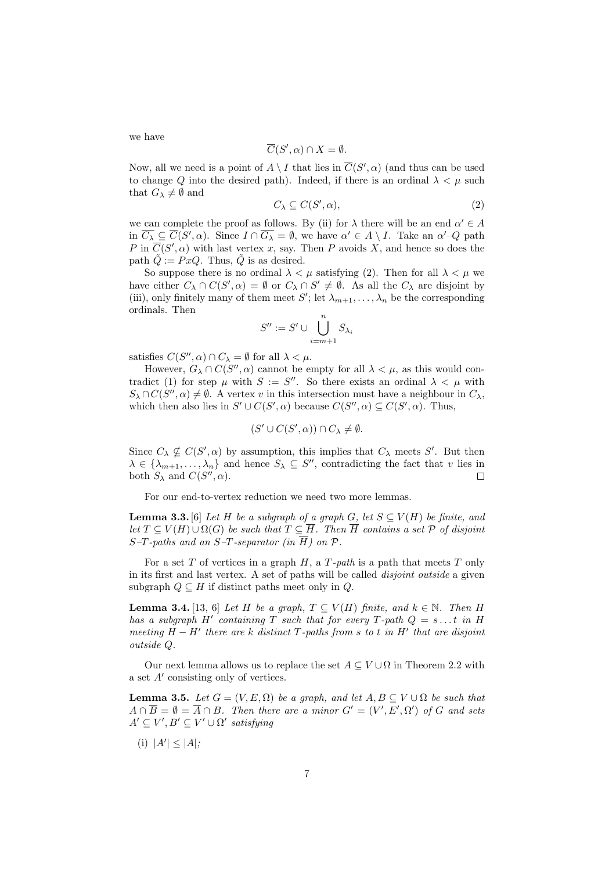we have

$$
\overline{C}(S', \alpha) \cap X = \emptyset.
$$

Now, all we need is a point of  $A \setminus I$  that lies in  $\overline{C}(S', \alpha)$  (and thus can be used to change Q into the desired path). Indeed, if there is an ordinal  $\lambda < \mu$  such that  $G_{\lambda} \neq \emptyset$  and

$$
C_{\lambda} \subseteq C(S', \alpha),\tag{2}
$$

we can complete the proof as follows. By (ii) for  $\lambda$  there will be an end  $\alpha' \in A$ in  $\overline{C_{\lambda}} \subseteq \overline{C}(S', \alpha)$ . Since  $I \cap \overline{G_{\lambda}} = \emptyset$ , we have  $\alpha' \in A \setminus I$ . Take an  $\alpha' \neg Q$  path P in  $\overline{C}(S', \alpha)$  with last vertex x, say. Then P avoids X, and hence so does the path  $\tilde{Q} := PxQ$ . Thus,  $\tilde{Q}$  is as desired.

So suppose there is no ordinal  $\lambda < \mu$  satisfying (2). Then for all  $\lambda < \mu$  we have either  $C_{\lambda} \cap C(S', \alpha) = \emptyset$  or  $C_{\lambda} \cap S' \neq \emptyset$ . As all the  $C_{\lambda}$  are disjoint by (iii), only finitely many of them meet  $S'$ ; let  $\lambda_{m+1}, \ldots, \lambda_n$  be the corresponding ordinals. Then

$$
S'' := S' \cup \bigcup_{i=m+1}^n S_{\lambda_i}
$$

satisfies  $C(S'', \alpha) \cap C_{\lambda} = \emptyset$  for all  $\lambda < \mu$ .

However,  $G_{\lambda} \cap C(S'', \alpha)$  cannot be empty for all  $\lambda < \mu$ , as this would contradict (1) for step  $\mu$  with  $S := S''$ . So there exists an ordinal  $\lambda < \mu$  with  $S_{\lambda} \cap C(S'', \alpha) \neq \emptyset$ . A vertex v in this intersection must have a neighbour in  $C_{\lambda}$ , which then also lies in  $S' \cup C(S', \alpha)$  because  $C(S'', \alpha) \subseteq C(S', \alpha)$ . Thus,

$$
(S' \cup C(S', \alpha)) \cap C_{\lambda} \neq \emptyset.
$$

Since  $C_{\lambda} \nsubseteq C(S', \alpha)$  by assumption, this implies that  $C_{\lambda}$  meets S'. But then  $\lambda \in \{\lambda_{m+1}, \ldots, \lambda_n\}$  and hence  $S_{\lambda} \subseteq S''$ , contradicting the fact that v lies in both  $S_{\lambda}$  and  $C(S'', \alpha)$ .  $\Box$ 

For our end-to-vertex reduction we need two more lemmas.

**Lemma 3.3.** [6] Let H be a subgraph of a graph G, let  $S \subseteq V(H)$  be finite, and let  $T \subseteq V(H) \cup \Omega(G)$  be such that  $T \subseteq \overline{H}$ . Then  $\overline{H}$  contains a set  $\mathcal P$  of disjoint  $S-T$ -paths and an  $S-T$ -separator (in  $\overline{H}$ ) on  $\mathcal{P}$ .

For a set T of vertices in a graph  $H$ , a  $T$ -path is a path that meets  $T$  only in its first and last vertex. A set of paths will be called *disjoint outside* a given subgraph  $Q \subseteq H$  if distinct paths meet only in  $Q$ .

**Lemma 3.4.** [13, 6] Let H be a graph,  $T \subseteq V(H)$  finite, and  $k \in \mathbb{N}$ . Then H has a subgraph H' containing T such that for every T-path  $Q = s \dots t$  in H meeting  $H - H'$  there are k distinct T-paths from s to t in  $H'$  that are disjoint outside Q.

Our next lemma allows us to replace the set  $A \subseteq V \cup \Omega$  in Theorem 2.2 with a set  $A'$  consisting only of vertices.

**Lemma 3.5.** Let  $G = (V, E, \Omega)$  be a graph, and let  $A, B \subseteq V \cup \Omega$  be such that  $A \cap \overline{B} = \emptyset = \overline{A} \cap B$ . Then there are a minor  $G' = (V', E', \Omega')$  of G and sets  $A' \subseteq V', B' \subseteq V' \cup \Omega'$  satisfying

(i)  $|A'| \leq |A|$ ;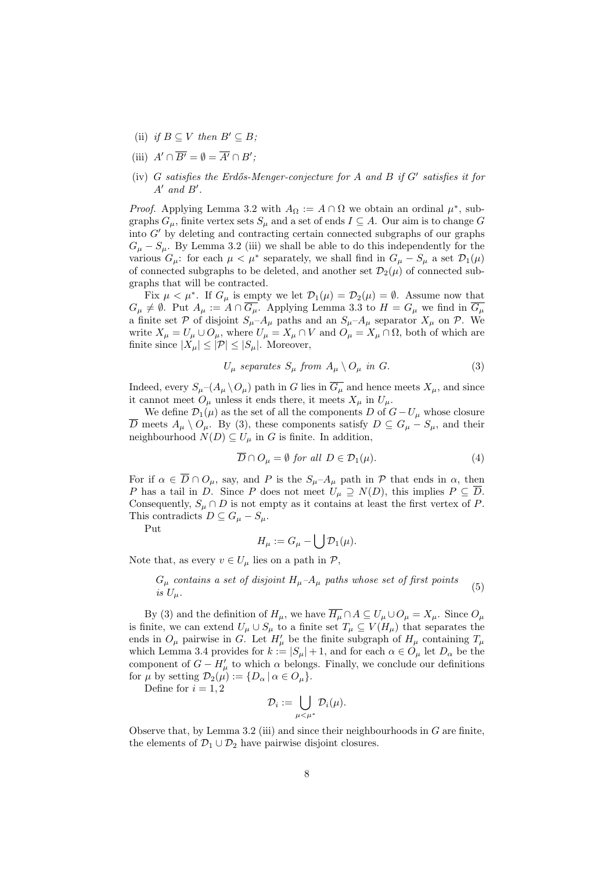- (ii) if  $B \subseteq V$  then  $B' \subseteq B$ ;
- (iii)  $A' \cap \overline{B'} = \emptyset = \overline{A'} \cap B'$ ;
- (iv)  $G$  satisfies the Erdős-Menger-conjecture for  $A$  and  $B$  if  $G'$  satisfies it for  $A'$  and  $B'$ .

*Proof.* Applying Lemma 3.2 with  $A_{\Omega} := A \cap \Omega$  we obtain an ordinal  $\mu^*$ , subgraphs  $G_{\mu}$ , finite vertex sets  $S_{\mu}$  and a set of ends  $I \subseteq A$ . Our aim is to change G into  $G'$  by deleting and contracting certain connected subgraphs of our graphs  $G_{\mu} - S_{\mu}$ . By Lemma 3.2 (iii) we shall be able to do this independently for the various  $G_{\mu}$ : for each  $\mu < \mu^*$  separately, we shall find in  $G_{\mu} - S_{\mu}$  a set  $\mathcal{D}_1(\mu)$ of connected subgraphs to be deleted, and another set  $\mathcal{D}_2(\mu)$  of connected subgraphs that will be contracted.

Fix  $\mu < \mu^*$ . If  $G_{\mu}$  is empty we let  $\mathcal{D}_1(\mu) = \mathcal{D}_2(\mu) = \emptyset$ . Assume now that  $G_{\mu} \neq \emptyset$ . Put  $A_{\mu} := A \cap \overline{G_{\mu}}$ . Applying Lemma 3.3 to  $H = G_{\mu}$  we find in  $\overline{G_{\mu}}$ a finite set P of disjoint  $S_{\mu}-A_{\mu}$  paths and an  $S_{\mu}-A_{\mu}$  separator  $X_{\mu}$  on P. We write  $X_{\mu} = U_{\mu} \cup O_{\mu}$ , where  $U_{\mu} = X_{\mu} \cap V$  and  $O_{\mu} = X_{\mu} \cap \Omega$ , both of which are finite since  $|X_\mu| \leq |\mathcal{P}| \leq |S_\mu|$ . Moreover,

$$
U_{\mu} \text{ separates } S_{\mu} \text{ from } A_{\mu} \setminus O_{\mu} \text{ in } G. \tag{3}
$$

Indeed, every  $S_\mu$ – $(A_\mu \setminus O_\mu)$  path in G lies in  $\overline{G_\mu}$  and hence meets  $X_\mu$ , and since it cannot meet  $O_{\mu}$  unless it ends there, it meets  $X_{\mu}$  in  $U_{\mu}$ .

We define  $\mathcal{D}_1(\mu)$  as the set of all the components D of  $G-U_\mu$  whose closure D meets  $A_\mu \setminus O_\mu$ . By (3), these components satisfy  $D ⊆ G_\mu - S_\mu$ , and their neighbourhood  $N(D) \subseteq U_\mu$  in G is finite. In addition,

$$
\overline{D} \cap O_{\mu} = \emptyset \text{ for all } D \in \mathcal{D}_1(\mu). \tag{4}
$$

For if  $\alpha \in \overline{D} \cap O_{\mu}$ , say, and P is the  $S_{\mu}-A_{\mu}$  path in P that ends in  $\alpha$ , then P has a tail in D. Since P does not meet  $U_{\mu} \supseteq N(D)$ , this implies  $P \subseteq \overline{D}$ . Consequently,  $S_u \cap D$  is not empty as it contains at least the first vertex of P. This contradicts  $D \subseteq G_{\mu} - S_{\mu}$ .

Put

$$
H_{\mu} := G_{\mu} - \bigcup \mathcal{D}_1(\mu).
$$

Note that, as every  $v \in U_u$  lies on a path in  $\mathcal{P}$ ,

$$
G_{\mu}
$$
 contains a set of disjoint  $H_{\mu}$ - $A_{\mu}$  paths whose set of first points  
is  $U_{\mu}$ . (5)

By (3) and the definition of  $H_{\mu}$ , we have  $\overline{H_{\mu}} \cap A \subseteq U_{\mu} \cup O_{\mu} = X_{\mu}$ . Since  $O_{\mu}$ is finite, we can extend  $U_{\mu} \cup S_{\mu}$  to a finite set  $T_{\mu} \subseteq V(H_{\mu})$  that separates the ends in  $O_\mu$  pairwise in G. Let  $H'_\mu$  be the finite subgraph of  $H_\mu$  containing  $T_\mu$ which Lemma 3.4 provides for  $k := |S_{\mu}| + 1$ , and for each  $\alpha \in O_{\mu}$  let  $D_{\alpha}$  be the component of  $G - H'_{\mu}$  to which  $\alpha$  belongs. Finally, we conclude our definitions for  $\mu$  by setting  $\mathcal{D}_2(\mu) := \{D_\alpha \mid \alpha \in O_\mu\}.$ 

Define for  $i = 1, 2$ 

$$
\mathcal{D}_i := \bigcup_{\mu < \mu^*} \mathcal{D}_i(\mu).
$$

Observe that, by Lemma 3.2 (iii) and since their neighbourhoods in  $G$  are finite, the elements of  $\mathcal{D}_1 \cup \mathcal{D}_2$  have pairwise disjoint closures.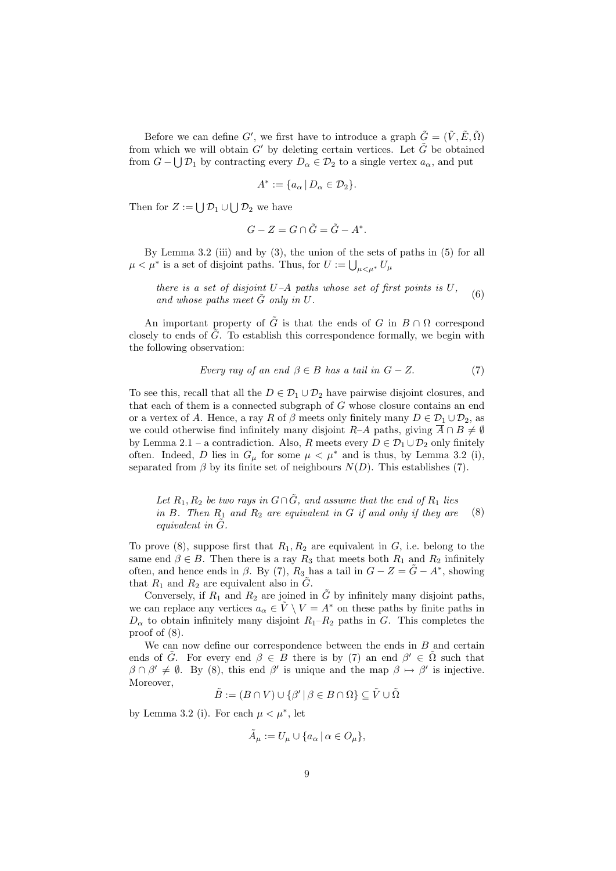Before we can define G', we first have to introduce a graph  $\tilde{G} = (\tilde{V}, \tilde{E}, \tilde{\Omega})$ from which we will obtain G' by deleting certain vertices. Let  $\tilde{G}$  be obtained from  $G - \bigcup \mathcal{D}_1$  by contracting every  $D_\alpha \in \mathcal{D}_2$  to a single vertex  $a_\alpha$ , and put

$$
A^* := \{ a_\alpha \, | \, D_\alpha \in \mathcal{D}_2 \}.
$$

Then for  $Z := \bigcup \mathcal{D}_1 \cup \bigcup \mathcal{D}_2$  we have

$$
G - Z = G \cap \tilde{G} = \tilde{G} - A^*.
$$

By Lemma 3.2 (iii) and by  $(3)$ , the union of the sets of paths in  $(5)$  for all  $\mu < \mu^*$  is a set of disjoint paths. Thus, for  $U := \bigcup_{\mu \leq \mu^*} U_\mu$ 

there is a set of disjoint  $U-A$  paths whose set of first points is  $U$ , and whose paths meet  $\tilde{G}$  only in U. (6)

An important property of  $\tilde{G}$  is that the ends of G in  $B \cap \Omega$  correspond closely to ends of  $\tilde{G}$ . To establish this correspondence formally, we begin with the following observation:

Every ray of an end 
$$
\beta \in B
$$
 has a tail in  $G - Z$ . (7)

To see this, recall that all the  $D \in \mathcal{D}_1 \cup \mathcal{D}_2$  have pairwise disjoint closures, and that each of them is a connected subgraph of  $G$  whose closure contains an end or a vertex of A. Hence, a ray R of  $\beta$  meets only finitely many  $D \in \mathcal{D}_1 \cup \mathcal{D}_2$ , as we could otherwise find infinitely many disjoint R–A paths, giving  $\overline{A} \cap B \neq \emptyset$ by Lemma 2.1 – a contradiction. Also, R meets every  $D \in \mathcal{D}_1 \cup \mathcal{D}_2$  only finitely often. Indeed, D lies in  $G_{\mu}$  for some  $\mu < \mu^*$  and is thus, by Lemma 3.2 (i), separated from  $\beta$  by its finite set of neighbours  $N(D)$ . This establishes (7).

Let  $R_1, R_2$  be two rays in  $G \cap \tilde{G}$ , and assume that the end of  $R_1$  lies in  $B$ . Then  $R_1$  and  $R_2$  are equivalent in  $G$  if and only if they are equivalent in  $\tilde{G}$ . (8)

To prove (8), suppose first that  $R_1, R_2$  are equivalent in  $G$ , i.e. belong to the same end  $\beta \in B$ . Then there is a ray  $R_3$  that meets both  $R_1$  and  $R_2$  infinitely often, and hence ends in  $\beta$ . By (7),  $R_3$  has a tail in  $G - Z = \tilde{G} - A^*$ , showing that  $R_1$  and  $R_2$  are equivalent also in  $\tilde{G}$ .

Conversely, if  $R_1$  and  $R_2$  are joined in  $\tilde{G}$  by infinitely many disjoint paths, we can replace any vertices  $a_{\alpha} \in \tilde{V} \setminus V = A^*$  on these paths by finite paths in  $D_{\alpha}$  to obtain infinitely many disjoint  $R_1-R_2$  paths in G. This completes the proof of (8).

We can now define our correspondence between the ends in  $B$  and certain ends of  $\tilde{G}$ . For every end  $\beta \in \overline{B}$  there is by (7) an end  $\beta' \in \tilde{\Omega}$  such that  $\beta \cap \beta' \neq \emptyset$ . By (8), this end  $\beta'$  is unique and the map  $\beta \mapsto \beta'$  is injective. Moreover,

$$
\tilde{B} := (B \cap V) \cup \{ \beta' \mid \beta \in B \cap \Omega \} \subseteq \tilde{V} \cup \tilde{\Omega}
$$

by Lemma 3.2 (i). For each  $\mu < \mu^*$ , let

$$
\tilde{A}_{\mu} := U_{\mu} \cup \{ a_{\alpha} \mid \alpha \in O_{\mu} \},
$$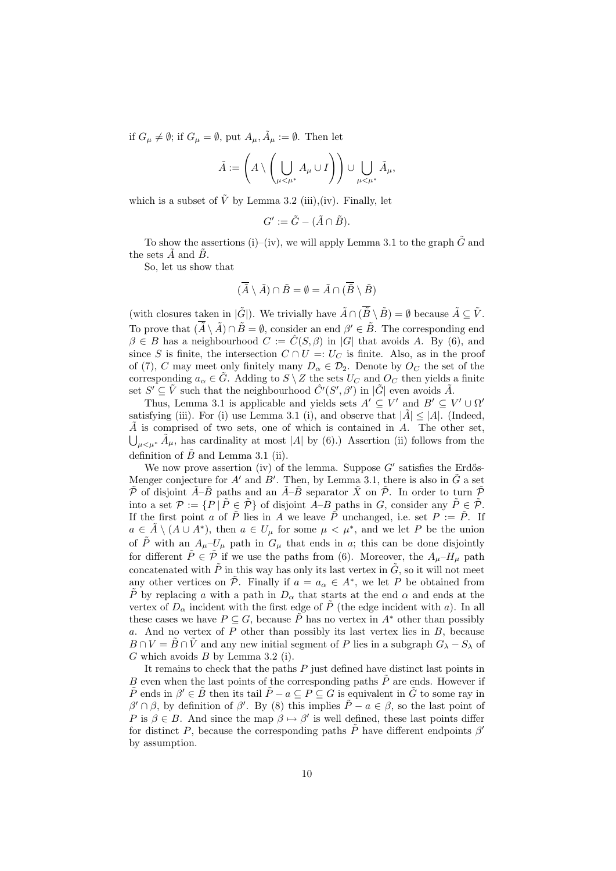if  $G_{\mu} \neq \emptyset$ ; if  $G_{\mu} = \emptyset$ , put  $A_{\mu}$ ,  $\tilde{A}_{\mu} := \emptyset$ . Then let

$$
\tilde{A} := \left( A \setminus \left( \bigcup_{\mu < \mu^*} A_{\mu} \cup I \right) \right) \cup \bigcup_{\mu < \mu^*} \tilde{A}_{\mu},
$$

which is a subset of  $\tilde{V}$  by Lemma 3.2 (iii),(iv). Finally, let

$$
G' := \tilde{G} - (\tilde{A} \cap \tilde{B}).
$$

To show the assertions (i)–(iv), we will apply Lemma 3.1 to the graph  $\tilde{G}$  and the sets  $\tilde{A}$  and  $\tilde{B}$ .

So, let us show that

$$
(\overline{\tilde{A}}\setminus \tilde{A})\cap \tilde{B}=\emptyset=\tilde{A}\cap (\overline{\tilde{B}}\setminus \tilde{B})
$$

(with closures taken in  $|\tilde{G}|\rangle$ ). We trivially have  $\tilde{A} \cap (\overline{\tilde{B}} \setminus \tilde{B}) = \emptyset$  because  $\tilde{A} \subseteq \tilde{V}$ . To prove that  $(\overline{A} \setminus \tilde{A}) \cap \tilde{B} = \emptyset$ , consider an end  $\beta' \in \tilde{B}$ . The corresponding end  $\beta \in B$  has a neighbourhood  $C := \hat{C}(S, \beta)$  in |G| that avoids A. By (6), and since S is finite, the intersection  $C \cap U =: U_C$  is finite. Also, as in the proof of (7), C may meet only finitely many  $D_{\alpha} \in \mathcal{D}_2$ . Denote by  $O_C$  the set of the corresponding  $a_{\alpha} \in \tilde{G}$ . Adding to  $S \setminus Z$  the sets  $U_C$  and  $O_C$  then yields a finite set  $S' \subseteq \tilde{V}$  such that the neighbourhood  $\hat{C}'(S', \beta')$  in  $|\tilde{G}|$  even avoids  $\tilde{A}$ .

Thus, Lemma 3.1 is applicable and yields sets  $A' \subseteq V'$  and  $B' \subseteq V' \cup \Omega'$ satisfying (iii). For (i) use Lemma 3.1 (i), and observe that  $|\tilde{A}| \leq |A|$ . (Indeed,  $\tilde{A}$  is comprised of two sets, one of which is contained in A. The other set,  $\bigcup_{\mu<\mu^*}\tilde{A}_{\mu}$ , has cardinality at most |A| by (6).) Assertion (ii) follows from the definition of  $\tilde{B}$  and Lemma 3.1 (ii).

We now prove assertion (iv) of the lemma. Suppose  $G'$  satisfies the Erdős-Menger conjecture for A' and  $B'$ . Then, by Lemma 3.1, there is also in  $\tilde{G}$  a set  $\tilde{P}$  of disjoint  $\tilde{A}-\tilde{B}$  paths and an  $\tilde{A}-\tilde{B}$  separator  $\tilde{X}$  on  $\tilde{P}$ . In order to turn  $\tilde{P}$ into a set  $\mathcal{P} := \{P \mid \tilde{P} \in \tilde{\mathcal{P}}\}$  of disjoint  $\tilde{A} - B$  paths in G, consider any  $\tilde{P} \in \tilde{\mathcal{P}}$ . If the first point a of  $\tilde{P}$  lies in A we leave  $\tilde{P}$  unchanged, i.e. set  $P := \tilde{P}$ . If  $a \in \tilde{A} \setminus (A \cup A^*)$ , then  $a \in U_\mu$  for some  $\mu < \mu^*$ , and we let P be the union of  $\tilde{P}$  with an  $A_{\mu}-U_{\mu}$  path in  $G_{\mu}$  that ends in a; this can be done disjointly for different  $\tilde{P} \in \tilde{\mathcal{P}}$  if we use the paths from (6). Moreover, the  $A_{\mu}-H_{\mu}$  path concatenated with  $\tilde{P}$  in this way has only its last vertex in  $\tilde{G}$ , so it will not meet any other vertices on  $\tilde{\mathcal{P}}$ . Finally if  $a = a_{\alpha} \in A^*$ , we let P be obtained from  $\tilde{P}$  by replacing a with a path in  $D_{\alpha}$  that starts at the end  $\alpha$  and ends at the vertex of  $D_{\alpha}$  incident with the first edge of  $\tilde{P}$  (the edge incident with a). In all these cases we have  $P \subseteq G$ , because  $\tilde{P}$  has no vertex in  $A^*$  other than possibly a. And no vertex of  $P$  other than possibly its last vertex lies in  $B$ , because  $B \cap V = \overline{B} \cap V$  and any new initial segment of P lies in a subgraph  $G_{\lambda} - S_{\lambda}$  of  $G$  which avoids  $B$  by Lemma 3.2 (i).

It remains to check that the paths  $P$  just defined have distinct last points in  $B$  even when the last points of the corresponding paths  $P$  are ends. However if  $\tilde{P}$  ends in  $\beta' \in \tilde{B}$  then its tail  $\tilde{P} - a \subseteq P \subseteq G$  is equivalent in  $\tilde{G}$  to some ray in  $β' ∩ β$ , by definition of  $β'$ . By (8) this implies  $\tilde{P} - a ∈ β$ , so the last point of P is  $\beta \in B$ . And since the map  $\beta \mapsto \beta'$  is well defined, these last points differ for distinct P, because the corresponding paths  $\tilde{P}$  have different endpoints  $\beta'$ by assumption.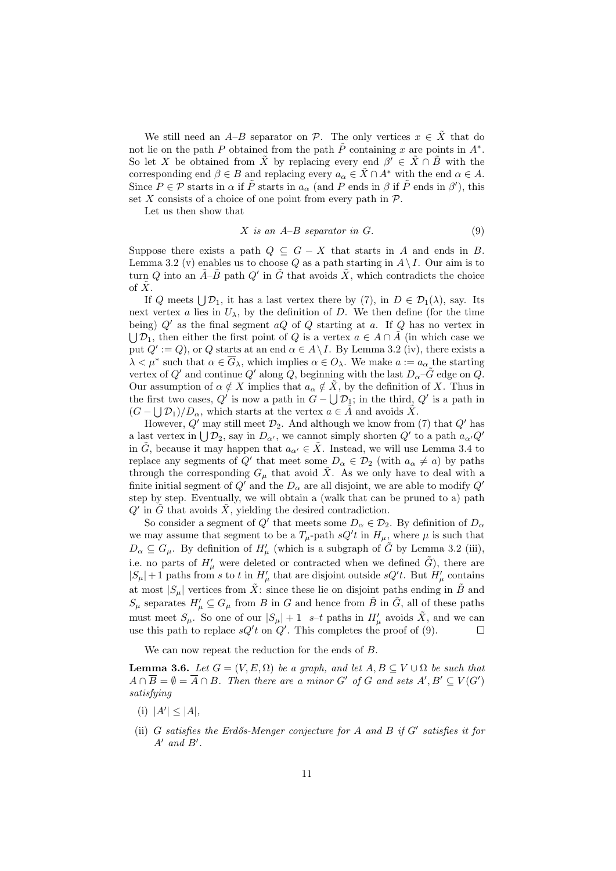We still need an A–B separator on P. The only vertices  $x \in \tilde{X}$  that do not lie on the path P obtained from the path  $\tilde{P}$  containing x are points in  $A^*$ . So let X be obtained from  $\tilde{X}$  by replacing every end  $\beta' \in \tilde{X} \cap \tilde{B}$  with the corresponding end  $\beta \in B$  and replacing every  $a_{\alpha} \in \tilde{X} \cap A^*$  with the end  $\alpha \in A$ . Since  $P \in \mathcal{P}$  starts in  $\alpha$  if  $\tilde{P}$  starts in  $a_{\alpha}$  (and P ends in  $\beta$  if  $\tilde{P}$  ends in  $\beta'$ ), this set X consists of a choice of one point from every path in  $P$ .

Let us then show that

$$
X \text{ is an } A - B \text{ separator in } G. \tag{9}
$$

Suppose there exists a path  $Q \subseteq G - X$  that starts in A and ends in B. Lemma 3.2 (v) enables us to choose Q as a path starting in  $A \setminus I$ . Our aim is to turn Q into an  $\tilde{A}-\tilde{B}$  path  $Q'$  in  $\tilde{G}$  that avoids  $\tilde{X}$ , which contradicts the choice of  $\tilde{X}$ .

If Q meets  $\bigcup \mathcal{D}_1$ , it has a last vertex there by (7), in  $D \in \mathcal{D}_1(\lambda)$ , say. Its next vertex a lies in  $U_{\lambda}$ , by the definition of D. We then define (for the time being)  $Q'$  as the final segment  $aQ$  of Q starting at a. If Q has no vertex in  $\bigcup \mathcal{D}_1$ , then either the first point of Q is a vertex  $a \in A \cap \tilde{A}$  (in which case we put  $Q' := Q$ , or Q starts at an end  $\alpha \in A \backslash I$ . By Lemma 3.2 (iv), there exists a  $\lambda < \mu^*$  such that  $\alpha \in \overline{G}_{\lambda}$ , which implies  $\alpha \in O_{\lambda}$ . We make  $a := a_{\alpha}$  the starting vertex of Q' and continue Q' along Q, beginning with the last  $D_{\alpha}-\hat{G}$  edge on Q. Our assumption of  $\alpha \notin X$  implies that  $a_{\alpha} \notin \tilde{X}$ , by the definition of X. Thus in the first two cases,  $Q'$  is now a path in  $G - \bigcup \mathcal{D}_1$ ; in the third,  $Q'$  is a path in  $(G - \bigcup \mathcal{D}_1)/D_\alpha$ , which starts at the vertex  $a \in \tilde{A}$  and avoids  $\tilde{X}$ .

However,  $Q'$  may still meet  $\mathcal{D}_2$ . And although we know from (7) that  $Q'$  has a last vertex in  $\bigcup \mathcal{D}_2$ , say in  $D_{\alpha'}$ , we cannot simply shorten  $Q'$  to a path  $a_{\alpha'}Q'$ in G, because it may happen that  $a_{\alpha'} \in X$ . Instead, we will use Lemma 3.4 to replace any segments of  $Q'$  that meet some  $D_{\alpha} \in \mathcal{D}_2$  (with  $a_{\alpha} \neq a$ ) by paths through the corresponding  $G_{\mu}$  that avoid  $\tilde{X}$ . As we only have to deal with a finite initial segment of  $Q'$  and the  $D_{\alpha}$  are all disjoint, we are able to modify  $Q'$ step by step. Eventually, we will obtain a (walk that can be pruned to a) path  $Q'$  in  $\tilde{G}$  that avoids  $\tilde{X}$ , yielding the desired contradiction.

So consider a segment of  $Q'$  that meets some  $D_{\alpha} \in \mathcal{D}_2$ . By definition of  $D_{\alpha}$ we may assume that segment to be a  $T_{\mu}$ -path  $sQ't$  in  $H_{\mu}$ , where  $\mu$  is such that  $D_{\alpha} \subseteq G_{\mu}$ . By definition of  $H'_{\mu}$  (which is a subgraph of  $\tilde{G}$  by Lemma 3.2 (iii), i.e. no parts of  $H'_{\mu}$  were deleted or contracted when we defined  $\tilde{G}$ ), there are  $|S_\mu|+1$  paths from s to t in  $H'_\mu$  that are disjoint outside sQ't. But  $H'_\mu$  contains at most  $|S_\mu|$  vertices from  $\tilde{X}$ : since these lie on disjoint paths ending in  $\tilde{B}$  and  $S_{\mu}$  separates  $H'_{\mu} \subseteq G_{\mu}$  from B in G and hence from  $\tilde{B}$  in  $\tilde{G}$ , all of these paths must meet  $S_{\mu}$ . So one of our  $|S_{\mu}| + 1$  s-t paths in  $H'_{\mu}$  avoids  $\tilde{X}$ , and we can use this path to replace  $sQ'$  on  $Q'$ . This completes the proof of (9).

We can now repeat the reduction for the ends of B.

**Lemma 3.6.** Let  $G = (V, E, \Omega)$  be a graph, and let  $A, B \subseteq V \cup \Omega$  be such that  $A \cap \overline{B} = \emptyset = \overline{A} \cap B$ . Then there are a minor G' of G and sets  $A', B' \subseteq V(G')$ satisfying

- (i)  $|A'| \leq |A|$ ,
- (ii)  $G$  satisfies the Erdős-Menger conjecture for  $A$  and  $B$  if  $G'$  satisfies it for  $A'$  and  $B'$ .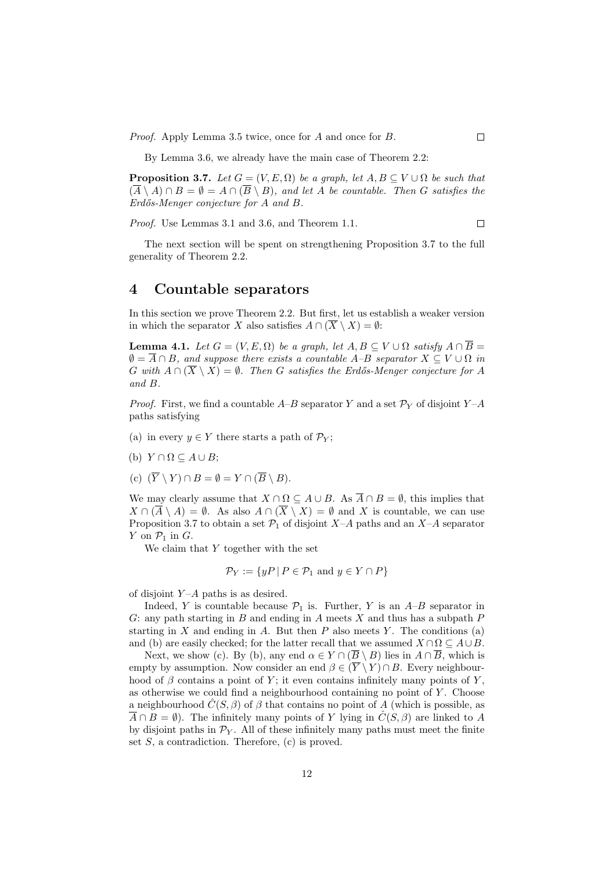Proof. Apply Lemma 3.5 twice, once for A and once for B.

By Lemma 3.6, we already have the main case of Theorem 2.2:

**Proposition 3.7.** Let  $G = (V, E, \Omega)$  be a graph, let  $A, B \subseteq V \cup \Omega$  be such that  $(\overline{A} \setminus A) \cap B = \emptyset = A \cap (\overline{B} \setminus B)$ , and let A be countable. Then G satisfies the  $Erd\tilde{o}s-Menger$  conjecture for  $A$  and  $B$ .

Proof. Use Lemmas 3.1 and 3.6, and Theorem 1.1.  $\Box$ 

The next section will be spent on strengthening Proposition 3.7 to the full generality of Theorem 2.2.

# 4 Countable separators

In this section we prove Theorem 2.2. But first, let us establish a weaker version in which the separator X also satisfies  $A \cap (\overline{X} \setminus X) = \emptyset$ :

**Lemma 4.1.** Let  $G = (V, E, \Omega)$  be a graph, let  $A, B \subseteq V \cup \Omega$  satisfy  $A \cap \overline{B} =$  $\emptyset = \overline{A} \cap B$ , and suppose there exists a countable A–B separator  $X \subseteq V \cup \Omega$  in G with  $A \cap (\overline{X} \setminus X) = \emptyset$ . Then G satisfies the Erdős-Menger conjecture for A and B.

*Proof.* First, we find a countable  $A-B$  separator Y and a set  $\mathcal{P}_Y$  of disjoint  $Y-A$ paths satisfying

- (a) in every  $y \in Y$  there starts a path of  $\mathcal{P}_Y$ ;
- (b)  $Y \cap \Omega \subseteq A \cup B$ ;
- (c)  $(\overline{Y} \setminus Y) \cap B = \emptyset = Y \cap (\overline{B} \setminus B).$

We may clearly assume that  $X \cap \Omega \subseteq A \cup B$ . As  $\overline{A} \cap B = \emptyset$ , this implies that  $X \cap (\overline{A} \setminus A) = \emptyset$ . As also  $A \cap (\overline{X} \setminus X) = \emptyset$  and X is countable, we can use Proposition 3.7 to obtain a set  $\mathcal{P}_1$  of disjoint X–A paths and an X–A separator Y on  $\mathcal{P}_1$  in G.

We claim that  $Y$  together with the set

$$
\mathcal{P}_Y := \{ yP \mid P \in \mathcal{P}_1 \text{ and } y \in Y \cap P \}
$$

of disjoint  $Y-A$  paths is as desired.

Indeed, Y is countable because  $\mathcal{P}_1$  is. Further, Y is an A–B separator in G: any path starting in  $B$  and ending in  $A$  meets  $X$  and thus has a subpath  $P$ starting in  $X$  and ending in  $A$ . But then  $P$  also meets  $Y$ . The conditions (a) and (b) are easily checked; for the latter recall that we assumed  $X \cap \Omega \subseteq A \cup B$ .

Next, we show (c). By (b), any end  $\alpha \in Y \cap (\overline{B} \setminus B)$  lies in  $A \cap \overline{B}$ , which is empty by assumption. Now consider an end  $\beta \in (\overline{Y} \setminus Y) \cap B$ . Every neighbourhood of  $\beta$  contains a point of Y; it even contains infinitely many points of Y, as otherwise we could find a neighbourhood containing no point of  $Y$ . Choose a neighbourhood  $\hat{C}(S, \beta)$  of  $\beta$  that contains no point of A (which is possible, as  $\overline{A} \cap B = \emptyset$ ). The infinitely many points of Y lying in  $\hat{C}(S, \beta)$  are linked to A by disjoint paths in  $\mathcal{P}_Y$ . All of these infinitely many paths must meet the finite set  $S$ , a contradiction. Therefore,  $(c)$  is proved.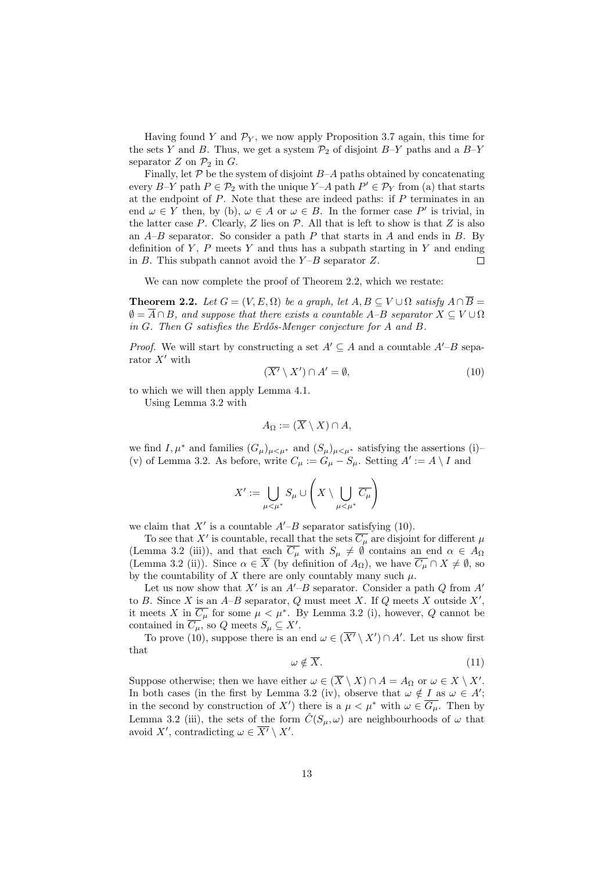Having found Y and  $\mathcal{P}_Y$ , we now apply Proposition 3.7 again, this time for the sets Y and B. Thus, we get a system  $\mathcal{P}_2$  of disjoint B–Y paths and a B–Y separator  $Z$  on  $\mathcal{P}_2$  in  $G$ .

Finally, let  $P$  be the system of disjoint  $B-A$  paths obtained by concatenating every  $B-Y$  path  $P \in \mathcal{P}_2$  with the unique  $Y-A$  path  $P' \in \mathcal{P}_Y$  from (a) that starts at the endpoint of  $P$ . Note that these are indeed paths: if  $P$  terminates in an end  $\omega \in Y$  then, by (b),  $\omega \in A$  or  $\omega \in B$ . In the former case P' is trivial, in the latter case P. Clearly, Z lies on  $P$ . All that is left to show is that Z is also an  $A-B$  separator. So consider a path  $P$  that starts in  $A$  and ends in  $B$ . By definition of  $Y$ ,  $P$  meets  $Y$  and thus has a subpath starting in  $Y$  and ending in  $B$ . This subpath cannot avoid the  $Y-B$  separator  $Z$ .  $\Box$ 

We can now complete the proof of Theorem 2.2, which we restate:

**Theorem 2.2.** Let  $G = (V, E, \Omega)$  be a graph, let  $A, B \subseteq V \cup \Omega$  satisfy  $A \cap \overline{B} =$  $\emptyset = \overline{A} \cap B$ , and suppose that there exists a countable A–B separator  $X \subseteq V \cup \Omega$ in G. Then G satisfies the Erdős-Menger conjecture for A and B.

*Proof.* We will start by constructing a set  $A' \subseteq A$  and a countable  $A'-B$  separator  $X'$  with

$$
(\overline{X'} \setminus X') \cap A' = \emptyset, \tag{10}
$$

to which we will then apply Lemma 4.1.

Using Lemma 3.2 with

$$
A_{\Omega} := (\overline{X} \setminus X) \cap A,
$$

we find I,  $\mu^*$  and families  $(G_\mu)_{\mu<\mu^*}$  and  $(S_\mu)_{\mu<\mu^*}$  satisfying the assertions (i)– (v) of Lemma 3.2. As before, write  $C_{\mu} := G_{\mu} - S_{\mu}$ . Setting  $A' := A \setminus I$  and

$$
X':=\bigcup_{\mu<\mu^*}S_\mu\cup\left(X\setminus\bigcup_{\mu<\mu^*}\overline{C_\mu}\right)
$$

we claim that  $X'$  is a countable  $A'-B$  separator satisfying (10).

To see that X' is countable, recall that the sets  $\overline{C_{\mu}}$  are disjoint for different  $\mu$ (Lemma 3.2 (iii)), and that each  $\overline{C_{\mu}}$  with  $S_{\mu} \neq \emptyset$  contains an end  $\alpha \in A_{\Omega}$ (Lemma 3.2 (ii)). Since  $\alpha \in \overline{X}$  (by definition of  $A_{\Omega}$ ), we have  $\overline{C_{\mu}} \cap X \neq \emptyset$ , so by the countability of X there are only countably many such  $\mu$ .

Let us now show that  $X'$  is an  $A'-B$  separator. Consider a path  $Q$  from  $A'$ to B. Since X is an  $A-B$  separator, Q must meet X. If Q meets X outside  $X'$ , it meets X in  $\overline{C_{\mu}}$  for some  $\mu < \mu^*$ . By Lemma 3.2 (i), however, Q cannot be contained in  $\overline{C_{\mu}}$ , so Q meets  $S_{\mu} \subseteq X'$ .

To prove (10), suppose there is an end  $\omega \in (\overline{X'} \setminus X') \cap A'$ . Let us show first that

$$
\omega \notin \overline{X}.\tag{11}
$$

Suppose otherwise; then we have either  $\omega \in (\overline{X} \setminus X) \cap A = A_{\Omega}$  or  $\omega \in X \setminus X'$ . In both cases (in the first by Lemma 3.2 (iv), observe that  $\omega \notin I$  as  $\omega \in A'$ ; in the second by construction of X') there is a  $\mu < \mu^*$  with  $\omega \in \overline{G_{\mu}}$ . Then by Lemma 3.2 (iii), the sets of the form  $\hat{C}(S_{\mu}, \omega)$  are neighbourhoods of  $\omega$  that avoid X', contradicting  $\omega \in \overline{X'} \setminus X'$ .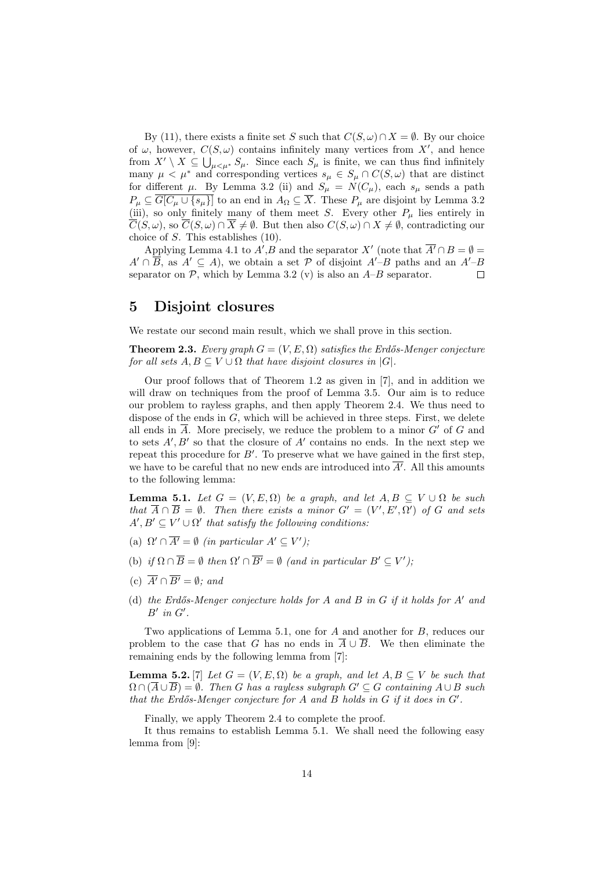By (11), there exists a finite set S such that  $C(S, \omega) \cap X = \emptyset$ . By our choice of  $\omega$ , however,  $C(S, \omega)$  contains infinitely many vertices from X', and hence from  $X' \setminus X \subseteq \bigcup_{\mu \leq \mu^*} S_{\mu}$ . Since each  $S_{\mu}$  is finite, we can thus find infinitely many  $\mu < \mu^*$  and corresponding vertices  $s_{\mu} \in S_{\mu} \cap C(S, \omega)$  that are distinct for different  $\mu$ . By Lemma 3.2 (ii) and  $S_{\mu} = N(C_{\mu})$ , each  $s_{\mu}$  sends a path  $P_{\mu} \subseteq \overline{G[C_{\mu} \cup \{s_{\mu}\}]}$  to an end in  $A_{\Omega} \subseteq \overline{X}$ . These  $P_{\mu}$  are disjoint by Lemma 3.2 (iii), so only finitely many of them meet S. Every other  $P_\mu$  lies entirely in  $\overline{C}(S,\omega)$ , so  $\overline{C}(S,\omega) \cap \overline{X} \neq \emptyset$ . But then also  $C(S,\omega) \cap X \neq \emptyset$ , contradicting our choice of S. This establishes (10).

Applying Lemma 4.1 to  $A', B$  and the separator X' (note that  $\overline{A'} \cap B = \emptyset$  $A' \cap \overline{B}$ , as  $A' \subseteq A$ ), we obtain a set P of disjoint  $A'-B$  paths and an  $A'-B$ separator on  $P$ , which by Lemma 3.2 (v) is also an  $A-B$  separator.  $\Box$ 

## 5 Disjoint closures

We restate our second main result, which we shall prove in this section.

**Theorem 2.3.** Every graph  $G = (V, E, \Omega)$  satisfies the Erdős-Menger conjecture for all sets  $A, B \subseteq V \cup \Omega$  that have disjoint closures in  $|G|$ .

Our proof follows that of Theorem 1.2 as given in [7], and in addition we will draw on techniques from the proof of Lemma 3.5. Our aim is to reduce our problem to rayless graphs, and then apply Theorem 2.4. We thus need to dispose of the ends in  $G$ , which will be achieved in three steps. First, we delete all ends in  $\overline{A}$ . More precisely, we reduce the problem to a minor  $G'$  of G and to sets  $A', B'$  so that the closure of  $A'$  contains no ends. In the next step we repeat this procedure for  $B'$ . To preserve what we have gained in the first step, we have to be careful that no new ends are introduced into  $\overline{A'}$ . All this amounts to the following lemma:

**Lemma 5.1.** Let  $G = (V, E, \Omega)$  be a graph, and let  $A, B \subseteq V \cup \Omega$  be such that  $\overline{A} \cap \overline{B} = \emptyset$ . Then there exists a minor  $G' = (V', E', \Omega')$  of G and sets  $A', B' \subseteq V' \cup \Omega'$  that satisfy the following conditions:

- (a)  $\Omega' \cap \overline{A'} = \emptyset$  (in particular  $A' \subseteq V'$ );
- (b) if  $\Omega \cap \overline{B} = \emptyset$  then  $\Omega' \cap \overline{B'} = \emptyset$  (and in particular  $B' \subseteq V'$ );
- (c)  $\overline{A'} \cap \overline{B'} = \emptyset$ ; and
- (d) the Erdős-Menger conjecture holds for A and B in  $G$  if it holds for  $A'$  and  $B'$  in  $G'$ .

Two applications of Lemma 5.1, one for A and another for B, reduces our problem to the case that G has no ends in  $\overline{A} \cup \overline{B}$ . We then eliminate the remaining ends by the following lemma from [7]:

**Lemma 5.2.** [7] Let  $G = (V, E, \Omega)$  be a graph, and let  $A, B \subseteq V$  be such that  $\Omega \cap (A \cup B) = \emptyset$ . Then G has a rayless subgraph  $G' \subseteq G$  containing  $A \cup B$  such that the Erdős-Menger conjecture for  $A$  and  $B$  holds in  $G$  if it does in  $G'$ .

Finally, we apply Theorem 2.4 to complete the proof.

It thus remains to establish Lemma 5.1. We shall need the following easy lemma from [9]: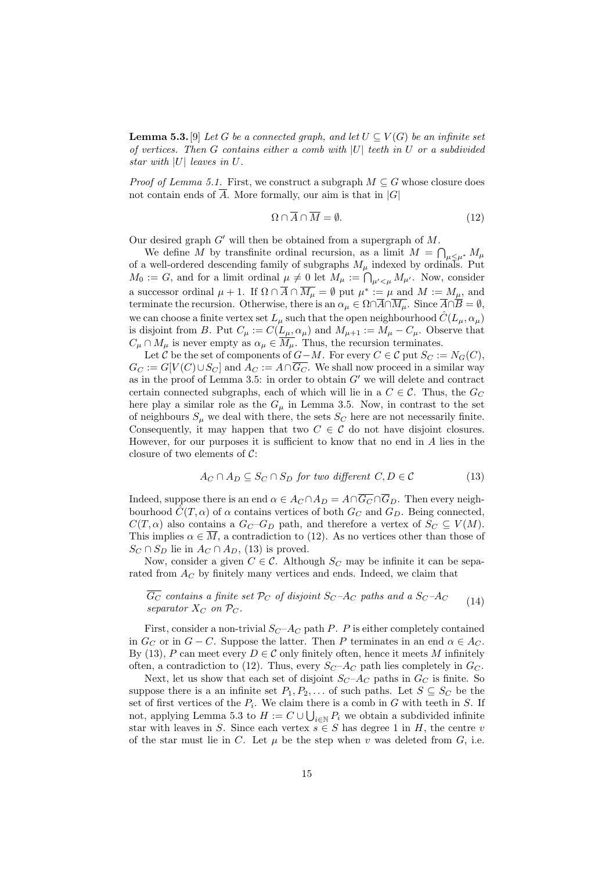**Lemma 5.3.** [9] Let G be a connected graph, and let  $U \subseteq V(G)$  be an infinite set of vertices. Then  $G$  contains either a comb with  $|U|$  teeth in  $U$  or a subdivided star with |U| leaves in U.

*Proof of Lemma 5.1.* First, we construct a subgraph  $M \subseteq G$  whose closure does not contain ends of  $\overline{A}$ . More formally, our aim is that in |G|

$$
\Omega \cap \overline{A} \cap \overline{M} = \emptyset. \tag{12}
$$

Our desired graph  $G'$  will then be obtained from a supergraph of M.

We define M by transfinite ordinal recursion, as a limit  $M = \bigcap_{\mu \leq \mu^*} M_{\mu}$ of a well-ordered descending family of subgraphs  $M_{\mu}$  indexed by ordinals. Put  $M_0 := G$ , and for a limit ordinal  $\mu \neq 0$  let  $M_{\mu} := \bigcap_{\mu' < \mu} M_{\mu'}$ . Now, consider a successor ordinal  $\mu + 1$ . If  $\Omega \cap \overline{A} \cap \overline{M_{\mu}} = \emptyset$  put  $\mu^* := \mu$  and  $M := M_{\mu}$ , and terminate the recursion. Otherwise, there is an  $\alpha_{\mu} \in \Omega \cap \overline{A} \cap \overline{M_{\mu}}$ . Since  $\overline{A} \cap \overline{B} = \emptyset$ , we can choose a finite vertex set  $L_{\mu}$  such that the open neighbourhood  $\hat{C}(L_{\mu}, \alpha_{\mu})$ is disjoint from B. Put  $C_{\mu} := C(L_{\mu}, \alpha_{\mu})$  and  $M_{\mu+1} := M_{\mu} - C_{\mu}$ . Observe that  $C_{\mu} \cap M_{\mu}$  is never empty as  $\alpha_{\mu} \in M_{\mu}$ . Thus, the recursion terminates.

Let C be the set of components of  $G-M$ . For every  $C \in \mathcal{C}$  put  $S_C := N_G(C)$ ,  $G_C := G[V(C) \cup S_C]$  and  $A_C := A \cap \overline{G_C}$ . We shall now proceed in a similar way as in the proof of Lemma 3.5: in order to obtain  $G'$  we will delete and contract certain connected subgraphs, each of which will lie in a  $C \in \mathcal{C}$ . Thus, the  $G_C$ here play a similar role as the  $G_{\mu}$  in Lemma 3.5. Now, in contrast to the set of neighbours  $S_\mu$  we deal with there, the sets  $S_C$  here are not necessarily finite. Consequently, it may happen that two  $C \in \mathcal{C}$  do not have disjoint closures. However, for our purposes it is sufficient to know that no end in  $A$  lies in the closure of two elements of  $\mathcal{C}$ :

$$
A_C \cap A_D \subseteq S_C \cap S_D \text{ for two different } C, D \in \mathcal{C}
$$
\n
$$
(13)
$$

Indeed, suppose there is an end  $\alpha \in A_C \cap A_D = A \cap \overline{G_C} \cap \overline{G}_D$ . Then every neighbourhood  $\hat{C}(T,\alpha)$  of  $\alpha$  contains vertices of both  $G_C$  and  $G_D$ . Being connected,  $C(T, \alpha)$  also contains a  $G_C - G_D$  path, and therefore a vertex of  $S_C \subseteq V(M)$ . This implies  $\alpha \in \overline{M}$ , a contradiction to (12). As no vertices other than those of  $S_C \cap S_D$  lie in  $A_C \cap A_D$ , (13) is proved.

Now, consider a given  $C \in \mathcal{C}$ . Although  $S_C$  may be infinite it can be separated from  $A_C$  by finitely many vertices and ends. Indeed, we claim that

#### $\overline{G_C}$  contains a finite set  $\mathcal{P}_C$  of disjoint  $S_C$ -A<sub>C</sub> paths and a  $S_C$ -A<sub>C</sub> separator  $X_C$  on  $\mathcal{P}_C$ . (14)

First, consider a non-trivial  $S_C - A_C$  path P. P is either completely contained in  $G_C$  or in  $G - C$ . Suppose the latter. Then P terminates in an end  $\alpha \in A_C$ . By (13), P can meet every  $D \in \mathcal{C}$  only finitely often, hence it meets M infinitely often, a contradiction to (12). Thus, every  $S_C - A_C$  path lies completely in  $G_C$ .

Next, let us show that each set of disjoint  $S_C - A_C$  paths in  $G_C$  is finite. So suppose there is a an infinite set  $P_1, P_2, \ldots$  of such paths. Let  $S \subseteq S_C$  be the set of first vertices of the  $P_i$ . We claim there is a comb in G with teeth in S. If not, applying Lemma 5.3 to  $H := C \cup \bigcup_{i \in \mathbb{N}} P_i$  we obtain a subdivided infinite star with leaves in S. Since each vertex  $s \in S$  has degree 1 in H, the centre v of the star must lie in C. Let  $\mu$  be the step when v was deleted from G, i.e.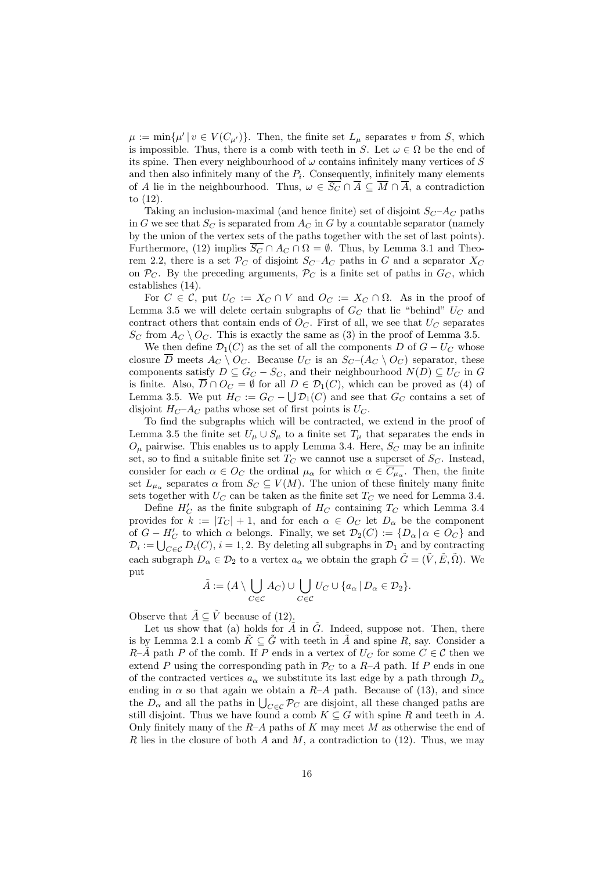$\mu := \min{\{\mu' \mid v \in V(C_{\mu'})\}}$ . Then, the finite set  $L_{\mu}$  separates v from S, which is impossible. Thus, there is a comb with teeth in S. Let  $\omega \in \Omega$  be the end of its spine. Then every neighbourhood of  $\omega$  contains infinitely many vertices of S and then also infinitely many of the  $P_i$ . Consequently, infinitely many elements of A lie in the neighbourhood. Thus,  $\omega \in \overline{S_C} \cap \overline{A} \subseteq \overline{M} \cap \overline{A}$ , a contradiction to (12).

Taking an inclusion-maximal (and hence finite) set of disjoint  $S_C-A_C$  paths in G we see that  $S_C$  is separated from  $A_C$  in G by a countable separator (namely by the union of the vertex sets of the paths together with the set of last points). Furthermore, (12) implies  $\overline{S_C} \cap A_C \cap \Omega = \emptyset$ . Thus, by Lemma 3.1 and Theorem 2.2, there is a set  $\mathcal{P}_C$  of disjoint  $S_C - A_C$  paths in G and a separator  $X_C$ on  $\mathcal{P}_C$ . By the preceding arguments,  $\mathcal{P}_C$  is a finite set of paths in  $G_C$ , which establishes (14).

For  $C \in \mathcal{C}$ , put  $U_C := X_C \cap V$  and  $O_C := X_C \cap \Omega$ . As in the proof of Lemma 3.5 we will delete certain subgraphs of  $G_C$  that lie "behind"  $U_C$  and contract others that contain ends of  $O<sub>C</sub>$ . First of all, we see that  $U<sub>C</sub>$  separates  $S_C$  from  $A_C \setminus O_C$ . This is exactly the same as (3) in the proof of Lemma 3.5.

We then define  $\mathcal{D}_1(C)$  as the set of all the components D of  $G-U_C$  whose closure  $\overline{D}$  meets  $A_C \setminus O_C$ . Because  $U_C$  is an  $S_C$  –( $A_C \setminus O_C$ ) separator, these components satisfy  $D \subseteq G_C - S_C$ , and their neighbourhood  $N(D) \subseteq U_C$  in G is finite. Also,  $\overline{D} \cap O_C = \emptyset$  for all  $D \in \mathcal{D}_1(C)$ , which can be proved as (4) of Lemma 3.5. We put  $H_C := G_C - \bigcup \mathcal{D}_1(C)$  and see that  $G_C$  contains a set of disjoint  $H_C-A_C$  paths whose set of first points is  $U_C$ .

To find the subgraphs which will be contracted, we extend in the proof of Lemma 3.5 the finite set  $U_{\mu} \cup S_{\mu}$  to a finite set  $T_{\mu}$  that separates the ends in  $O_\mu$  pairwise. This enables us to apply Lemma 3.4. Here,  $S_C$  may be an infinite set, so to find a suitable finite set  $T_C$  we cannot use a superset of  $S_C$ . Instead, consider for each  $\alpha \in O_C$  the ordinal  $\mu_\alpha$  for which  $\alpha \in C_{\mu_\alpha}$ . Then, the finite set  $L_{\mu_{\alpha}}$  separates  $\alpha$  from  $S_C \subseteq V(M)$ . The union of these finitely many finite sets together with  $U_C$  can be taken as the finite set  $T_C$  we need for Lemma 3.4.

Define  $H_C'$  as the finite subgraph of  $H_C$  containing  $T_C$  which Lemma 3.4 provides for  $k := |T_C| + 1$ , and for each  $\alpha \in O_C$  let  $D_\alpha$  be the component of  $G - H'_C$  to which  $\alpha$  belongs. Finally, we set  $\mathcal{D}_2(C) := \{D_\alpha \mid \alpha \in O_C\}$  and  $\mathcal{D}_i := \bigcup_{C \in \mathcal{C}} D_i(C), i = 1, 2$ . By deleting all subgraphs in  $\mathcal{D}_1$  and by contracting each subgraph  $D_{\alpha} \in \mathcal{D}_2$  to a vertex  $a_{\alpha}$  we obtain the graph  $\tilde{G} = (\tilde{V}, \tilde{E}, \tilde{\Omega})$ . We put

$$
\tilde{A} := (A \setminus \bigcup_{C \in \mathcal{C}} A_C) \cup \bigcup_{C \in \mathcal{C}} U_C \cup \{a_\alpha \mid D_\alpha \in \mathcal{D}_2\}.
$$

Observe that  $\tilde{A} \subseteq \tilde{V}$  because of (12).

Let us show that (a) holds for  $\tilde{A}$  in  $\tilde{G}$ . Indeed, suppose not. Then, there is by Lemma 2.1 a comb  $K \subseteq G$  with teeth in A and spine R, say. Consider a  $R-\tilde{A}$  path P of the comb. If P ends in a vertex of  $U_C$  for some  $C \in \mathcal{C}$  then we extend P using the corresponding path in  $\mathcal{P}_C$  to a R-A path. If P ends in one of the contracted vertices  $a_{\alpha}$  we substitute its last edge by a path through  $D_{\alpha}$ ending in  $\alpha$  so that again we obtain a R–A path. Because of (13), and since the  $D_{\alpha}$  and all the paths in  $\bigcup_{C \in \mathcal{C}} \mathcal{P}_C$  are disjoint, all these changed paths are still disjoint. Thus we have found a comb  $K \subseteq G$  with spine R and teeth in A. Only finitely many of the  $R-A$  paths of K may meet M as otherwise the end of R lies in the closure of both A and M, a contradiction to  $(12)$ . Thus, we may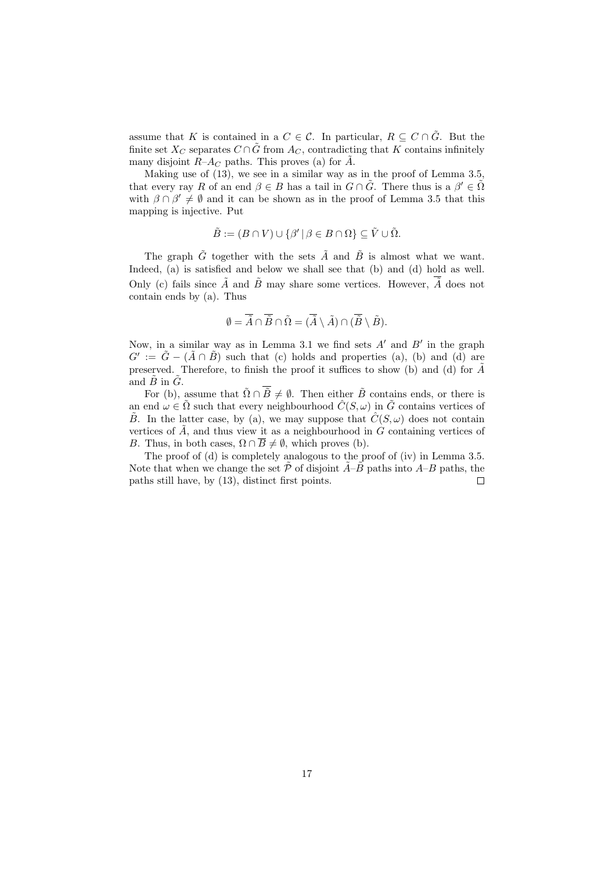assume that K is contained in a  $C \in \mathcal{C}$ . In particular,  $R \subseteq C \cap \tilde{G}$ . But the finite set  $X_C$  separates  $C \cap \tilde{G}$  from  $A_C$ , contradicting that K contains infinitely many disjoint  $R-A_C$  paths. This proves (a) for  $\tilde{A}$ .

Making use of (13), we see in a similar way as in the proof of Lemma 3.5, that every ray R of an end  $\beta \in B$  has a tail in  $G \cap \tilde{G}$ . There thus is a  $\beta' \in \tilde{\Omega}$ with  $\beta \cap \beta' \neq \emptyset$  and it can be shown as in the proof of Lemma 3.5 that this mapping is injective. Put

$$
\tilde{B} := (B \cap V) \cup \{ \beta' \mid \beta \in B \cap \Omega \} \subseteq \tilde{V} \cup \tilde{\Omega}.
$$

The graph  $\tilde{G}$  together with the sets  $\tilde{A}$  and  $\tilde{B}$  is almost what we want. Indeed, (a) is satisfied and below we shall see that (b) and (d) hold as well. Only (c) fails since  $\tilde{A}$  and  $\tilde{B}$  may share some vertices. However,  $\overline{\tilde{A}}$  does not contain ends by (a). Thus

$$
\emptyset = \overline{\tilde{A}} \cap \overline{\tilde{B}} \cap \tilde{\Omega} = (\overline{\tilde{A}} \setminus \tilde{A}) \cap (\overline{\tilde{B}} \setminus \tilde{B}).
$$

Now, in a similar way as in Lemma 3.1 we find sets  $A'$  and  $B'$  in the graph  $G' := \tilde{G} - (\tilde{A} \cap \tilde{B})$  such that (c) holds and properties (a), (b) and (d) are preserved. Therefore, to finish the proof it suffices to show (b) and (d) for  $\tilde{A}$ and  $\tilde{B}$  in  $\tilde{G}$ .

For (b), assume that  $\tilde{\Omega} \cap \overline{\tilde{B}} \neq \emptyset$ . Then either  $\tilde{B}$  contains ends, or there is an end  $\omega \in \tilde{\Omega}$  such that every neighbourhood  $\hat{C}(S,\omega)$  in  $\tilde{G}$  contains vertices of  $\tilde{B}$ . In the latter case, by (a), we may suppose that  $\tilde{C}(S,\omega)$  does not contain vertices of  $\ddot{A}$ , and thus view it as a neighbourhood in G containing vertices of B. Thus, in both cases,  $\Omega \cap \overline{B} \neq \emptyset$ , which proves (b).

The proof of (d) is completely analogous to the proof of (iv) in Lemma 3.5. Note that when we change the set  $\tilde{\mathcal{P}}$  of disjoint  $\tilde{A}-\tilde{B}$  paths into  $A-B$  paths, the paths still have, by (13), distinct first points.  $\Box$